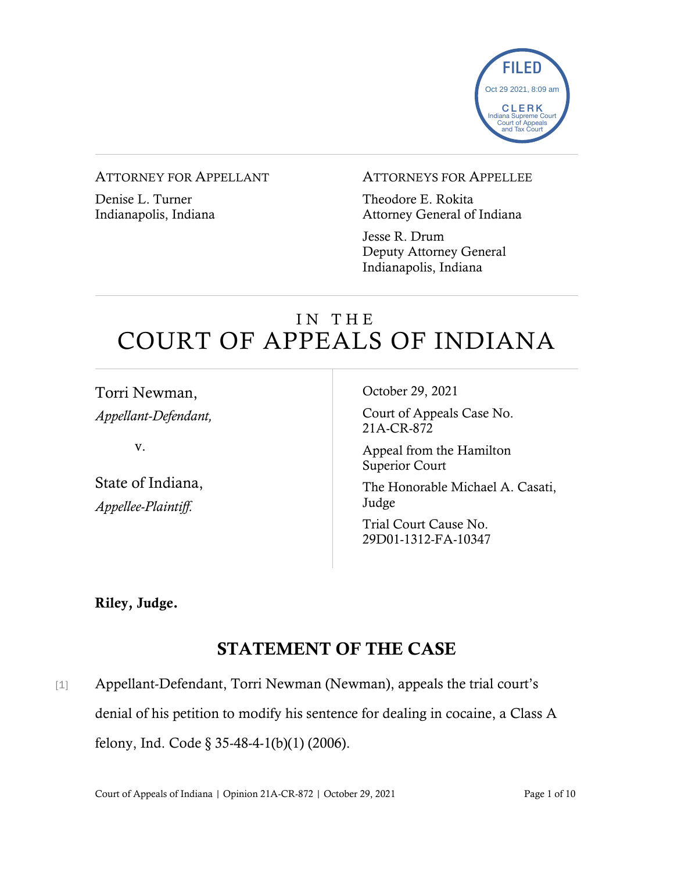

### ATTORNEY FOR APPELLANT

Denise L. Turner Indianapolis, Indiana

#### ATTORNEYS FOR APPELLEE

Theodore E. Rokita Attorney General of Indiana

Jesse R. Drum Deputy Attorney General Indianapolis, Indiana

# IN THE COURT OF APPEALS OF INDIANA

Torri Newman, *Appellant-Defendant,*

v.

State of Indiana, *Appellee-Plaintiff.*

October 29, 2021

Court of Appeals Case No. 21A-CR-872

Appeal from the Hamilton Superior Court

The Honorable Michael A. Casati, Judge

Trial Court Cause No. 29D01-1312-FA-10347

Riley, Judge.

## STATEMENT OF THE CASE

[1] Appellant-Defendant, Torri Newman (Newman), appeals the trial court's denial of his petition to modify his sentence for dealing in cocaine, a Class A felony, Ind. Code § 35-48-4-1(b)(1) (2006).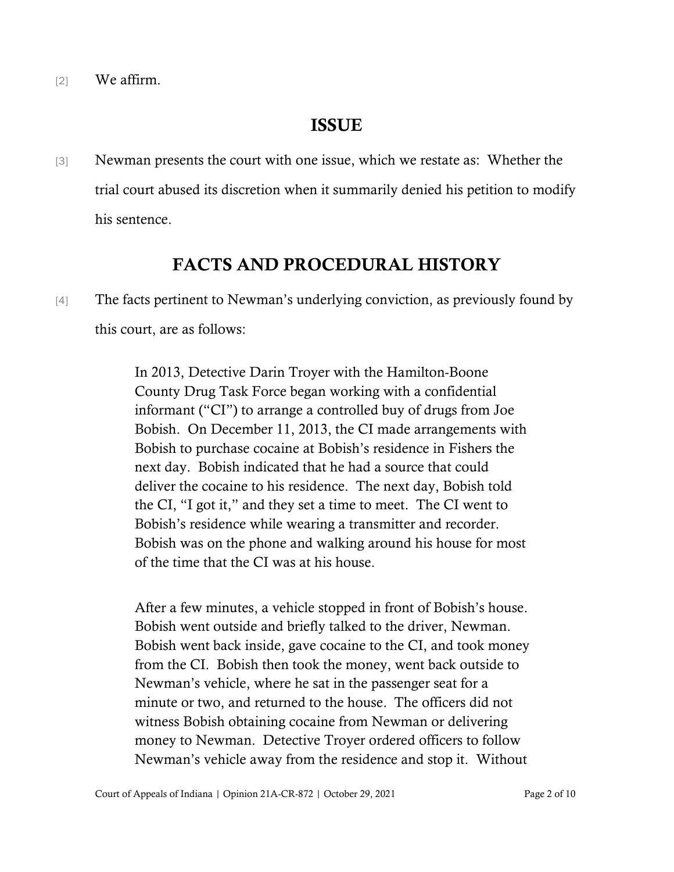[2] We affirm.

### ISSUE

[3] Newman presents the court with one issue, which we restate as: Whether the trial court abused its discretion when it summarily denied his petition to modify his sentence.

### FACTS AND PROCEDURAL HISTORY

[4] The facts pertinent to Newman's underlying conviction, as previously found by this court, are as follows:

> In 2013, Detective Darin Troyer with the Hamilton-Boone County Drug Task Force began working with a confidential informant ("CI") to arrange a controlled buy of drugs from Joe Bobish. On December 11, 2013, the CI made arrangements with Bobish to purchase cocaine at Bobish's residence in Fishers the next day. Bobish indicated that he had a source that could deliver the cocaine to his residence. The next day, Bobish told the CI, "I got it," and they set a time to meet. The CI went to Bobish's residence while wearing a transmitter and recorder. Bobish was on the phone and walking around his house for most of the time that the CI was at his house.

> After a few minutes, a vehicle stopped in front of Bobish's house. Bobish went outside and briefly talked to the driver, Newman. Bobish went back inside, gave cocaine to the CI, and took money from the CI. Bobish then took the money, went back outside to Newman's vehicle, where he sat in the passenger seat for a minute or two, and returned to the house. The officers did not witness Bobish obtaining cocaine from Newman or delivering money to Newman. Detective Troyer ordered officers to follow Newman's vehicle away from the residence and stop it. Without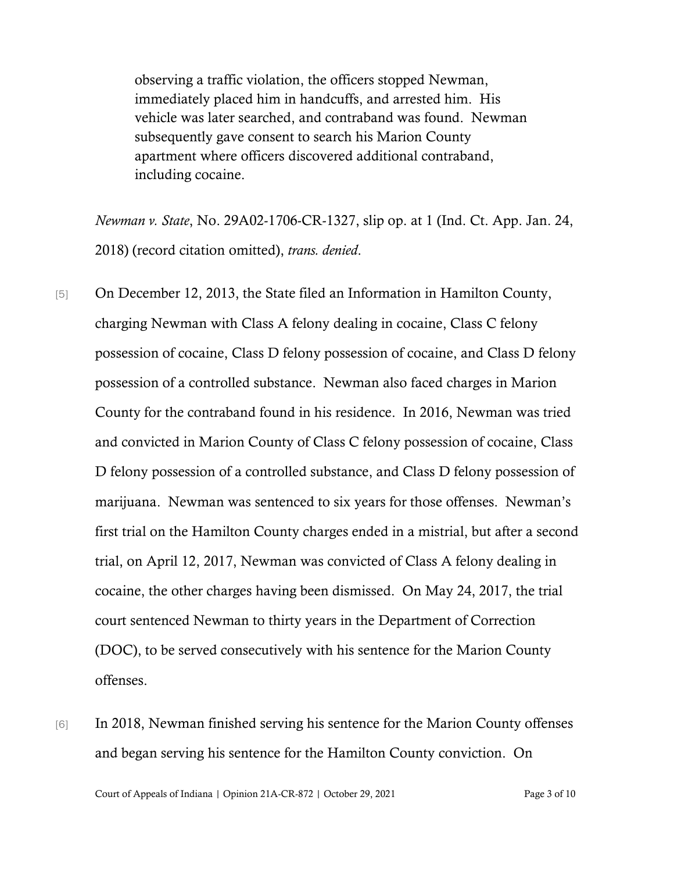observing a traffic violation, the officers stopped Newman, immediately placed him in handcuffs, and arrested him. His vehicle was later searched, and contraband was found. Newman subsequently gave consent to search his Marion County apartment where officers discovered additional contraband, including cocaine.

*Newman v. State*, No. 29A02-1706-CR-1327, slip op. at 1 (Ind. Ct. App. Jan. 24, 2018) (record citation omitted), *trans. denied*.

- [5] On December 12, 2013, the State filed an Information in Hamilton County, charging Newman with Class A felony dealing in cocaine, Class C felony possession of cocaine, Class D felony possession of cocaine, and Class D felony possession of a controlled substance. Newman also faced charges in Marion County for the contraband found in his residence. In 2016, Newman was tried and convicted in Marion County of Class C felony possession of cocaine, Class D felony possession of a controlled substance, and Class D felony possession of marijuana. Newman was sentenced to six years for those offenses. Newman's first trial on the Hamilton County charges ended in a mistrial, but after a second trial, on April 12, 2017, Newman was convicted of Class A felony dealing in cocaine, the other charges having been dismissed. On May 24, 2017, the trial court sentenced Newman to thirty years in the Department of Correction (DOC), to be served consecutively with his sentence for the Marion County offenses.
- [6] In 2018, Newman finished serving his sentence for the Marion County offenses and began serving his sentence for the Hamilton County conviction. On

Court of Appeals of Indiana | Opinion 21A-CR-872 | October 29, 2021 Page 3 of 10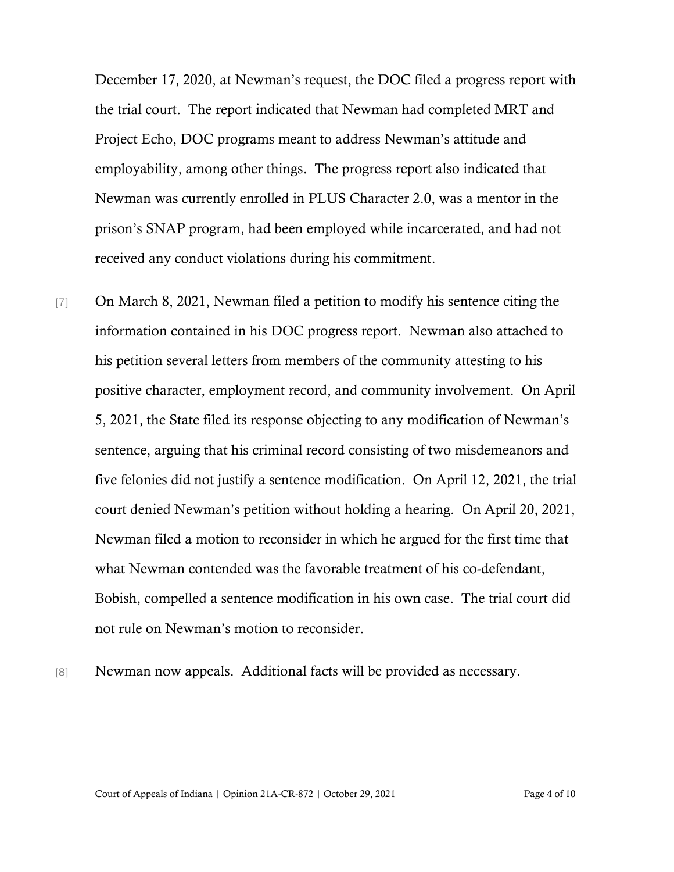December 17, 2020, at Newman's request, the DOC filed a progress report with the trial court. The report indicated that Newman had completed MRT and Project Echo, DOC programs meant to address Newman's attitude and employability, among other things. The progress report also indicated that Newman was currently enrolled in PLUS Character 2.0, was a mentor in the prison's SNAP program, had been employed while incarcerated, and had not received any conduct violations during his commitment.

- [7] On March 8, 2021, Newman filed a petition to modify his sentence citing the information contained in his DOC progress report. Newman also attached to his petition several letters from members of the community attesting to his positive character, employment record, and community involvement. On April 5, 2021, the State filed its response objecting to any modification of Newman's sentence, arguing that his criminal record consisting of two misdemeanors and five felonies did not justify a sentence modification. On April 12, 2021, the trial court denied Newman's petition without holding a hearing. On April 20, 2021, Newman filed a motion to reconsider in which he argued for the first time that what Newman contended was the favorable treatment of his co-defendant, Bobish, compelled a sentence modification in his own case. The trial court did not rule on Newman's motion to reconsider.
- 

[8] Newman now appeals. Additional facts will be provided as necessary.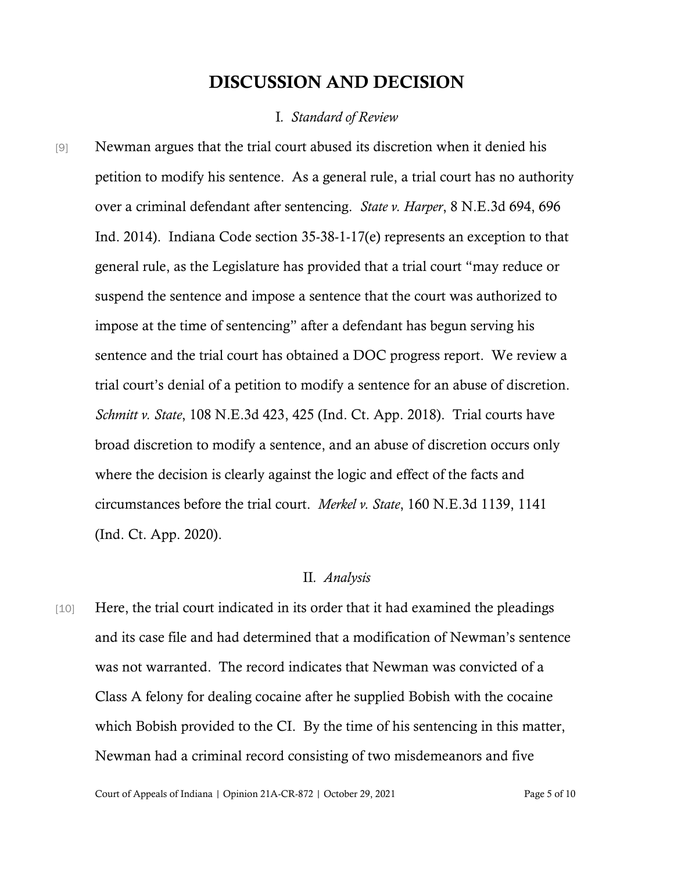### DISCUSSION AND DECISION

#### I*. Standard of Review*

[9] Newman argues that the trial court abused its discretion when it denied his petition to modify his sentence. As a general rule, a trial court has no authority over a criminal defendant after sentencing. *State v. Harper*, 8 N.E.3d 694, 696 Ind. 2014). Indiana Code section 35-38-1-17(e) represents an exception to that general rule, as the Legislature has provided that a trial court "may reduce or suspend the sentence and impose a sentence that the court was authorized to impose at the time of sentencing" after a defendant has begun serving his sentence and the trial court has obtained a DOC progress report. We review a trial court's denial of a petition to modify a sentence for an abuse of discretion. *Schmitt v. State*, 108 N.E.3d 423, 425 (Ind. Ct. App. 2018). Trial courts have broad discretion to modify a sentence, and an abuse of discretion occurs only where the decision is clearly against the logic and effect of the facts and circumstances before the trial court. *Merkel v. State*, 160 N.E.3d 1139, 1141 (Ind. Ct. App. 2020).

### II*. Analysis*

[10] Here, the trial court indicated in its order that it had examined the pleadings and its case file and had determined that a modification of Newman's sentence was not warranted. The record indicates that Newman was convicted of a Class A felony for dealing cocaine after he supplied Bobish with the cocaine which Bobish provided to the CI. By the time of his sentencing in this matter, Newman had a criminal record consisting of two misdemeanors and five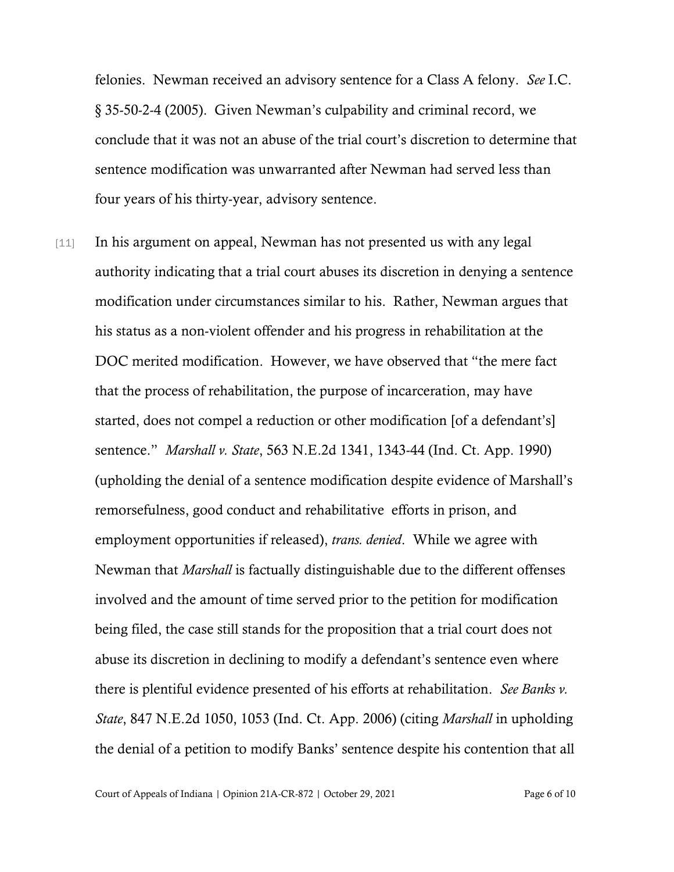felonies. Newman received an advisory sentence for a Class A felony. *See* I.C. § 35-50-2-4 (2005). Given Newman's culpability and criminal record, we conclude that it was not an abuse of the trial court's discretion to determine that sentence modification was unwarranted after Newman had served less than four years of his thirty-year, advisory sentence.

[11] In his argument on appeal, Newman has not presented us with any legal authority indicating that a trial court abuses its discretion in denying a sentence modification under circumstances similar to his. Rather, Newman argues that his status as a non-violent offender and his progress in rehabilitation at the DOC merited modification. However, we have observed that "the mere fact that the process of rehabilitation, the purpose of incarceration, may have started, does not compel a reduction or other modification [of a defendant's] sentence." *Marshall v. State*, 563 N.E.2d 1341, 1343-44 (Ind. Ct. App. 1990) (upholding the denial of a sentence modification despite evidence of Marshall's remorsefulness, good conduct and rehabilitative efforts in prison, and employment opportunities if released), *trans. denied*. While we agree with Newman that *Marshall* is factually distinguishable due to the different offenses involved and the amount of time served prior to the petition for modification being filed, the case still stands for the proposition that a trial court does not abuse its discretion in declining to modify a defendant's sentence even where there is plentiful evidence presented of his efforts at rehabilitation. *See Banks v. State*, 847 N.E.2d 1050, 1053 (Ind. Ct. App. 2006) (citing *Marshall* in upholding the denial of a petition to modify Banks' sentence despite his contention that all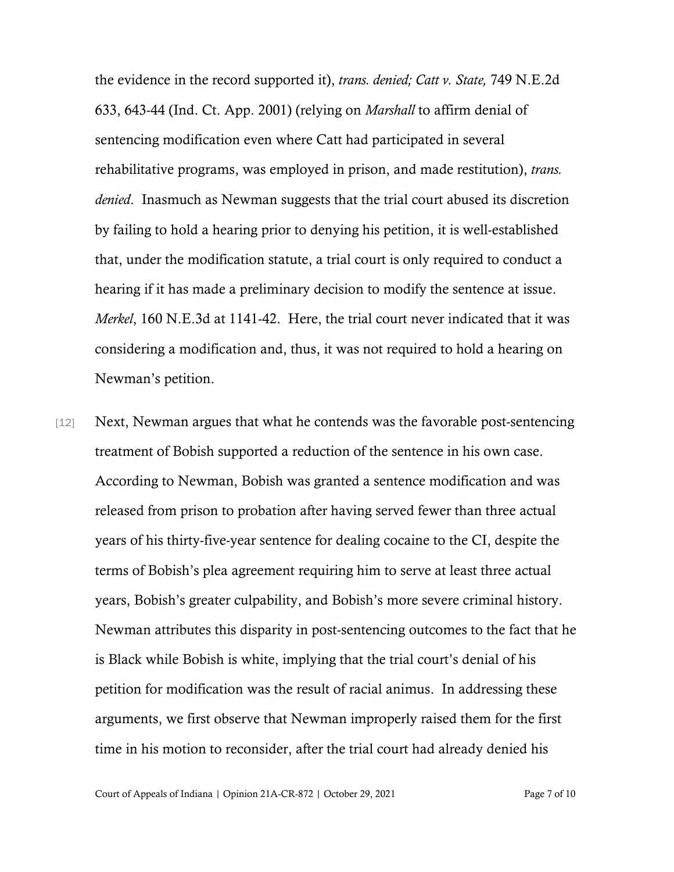the evidence in the record supported it), *trans. denied; Catt v. State,* 749 N.E.2d 633, 643-44 (Ind. Ct. App. 2001) (relying on *Marshall* to affirm denial of sentencing modification even where Catt had participated in several rehabilitative programs, was employed in prison, and made restitution), *trans. denied*. Inasmuch as Newman suggests that the trial court abused its discretion by failing to hold a hearing prior to denying his petition, it is well-established that, under the modification statute, a trial court is only required to conduct a hearing if it has made a preliminary decision to modify the sentence at issue. *Merkel*, 160 N.E.3d at 1141-42. Here, the trial court never indicated that it was considering a modification and, thus, it was not required to hold a hearing on Newman's petition.

[12] Next, Newman argues that what he contends was the favorable post-sentencing treatment of Bobish supported a reduction of the sentence in his own case. According to Newman, Bobish was granted a sentence modification and was released from prison to probation after having served fewer than three actual years of his thirty-five-year sentence for dealing cocaine to the CI, despite the terms of Bobish's plea agreement requiring him to serve at least three actual years, Bobish's greater culpability, and Bobish's more severe criminal history. Newman attributes this disparity in post-sentencing outcomes to the fact that he is Black while Bobish is white, implying that the trial court's denial of his petition for modification was the result of racial animus. In addressing these arguments, we first observe that Newman improperly raised them for the first time in his motion to reconsider, after the trial court had already denied his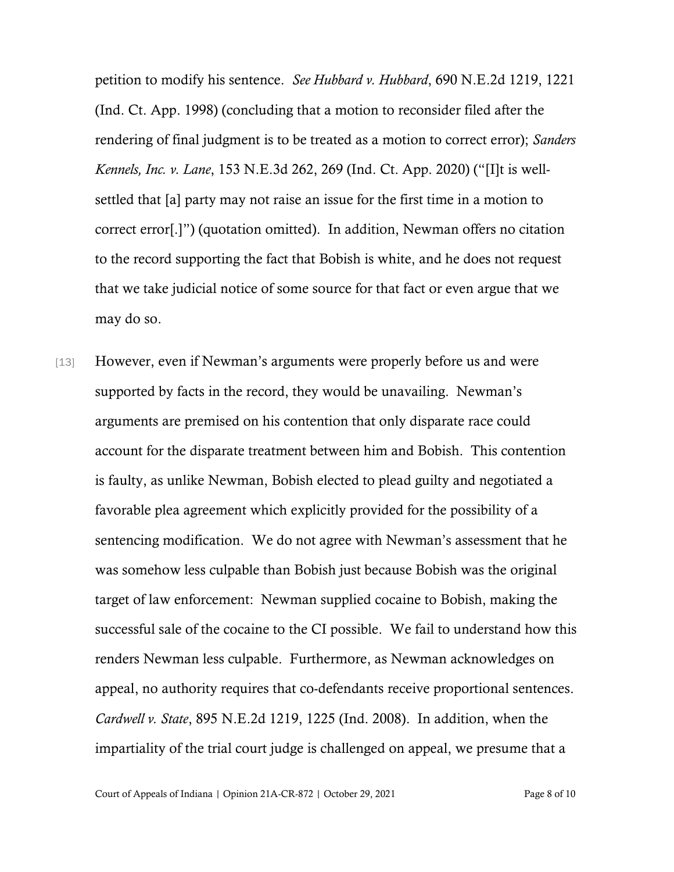petition to modify his sentence. *See Hubbard v. Hubbard*, 690 N.E.2d 1219, 1221 (Ind. Ct. App. 1998) (concluding that a motion to reconsider filed after the rendering of final judgment is to be treated as a motion to correct error); *Sanders Kennels, Inc. v. Lane*, 153 N.E.3d 262, 269 (Ind. Ct. App. 2020) ("[I]t is wellsettled that [a] party may not raise an issue for the first time in a motion to correct error[.]") (quotation omitted). In addition, Newman offers no citation to the record supporting the fact that Bobish is white, and he does not request that we take judicial notice of some source for that fact or even argue that we may do so.

[13] However, even if Newman's arguments were properly before us and were supported by facts in the record, they would be unavailing. Newman's arguments are premised on his contention that only disparate race could account for the disparate treatment between him and Bobish. This contention is faulty, as unlike Newman, Bobish elected to plead guilty and negotiated a favorable plea agreement which explicitly provided for the possibility of a sentencing modification. We do not agree with Newman's assessment that he was somehow less culpable than Bobish just because Bobish was the original target of law enforcement: Newman supplied cocaine to Bobish, making the successful sale of the cocaine to the CI possible. We fail to understand how this renders Newman less culpable. Furthermore, as Newman acknowledges on appeal, no authority requires that co-defendants receive proportional sentences. *Cardwell v. State*, 895 N.E.2d 1219, 1225 (Ind. 2008). In addition, when the impartiality of the trial court judge is challenged on appeal, we presume that a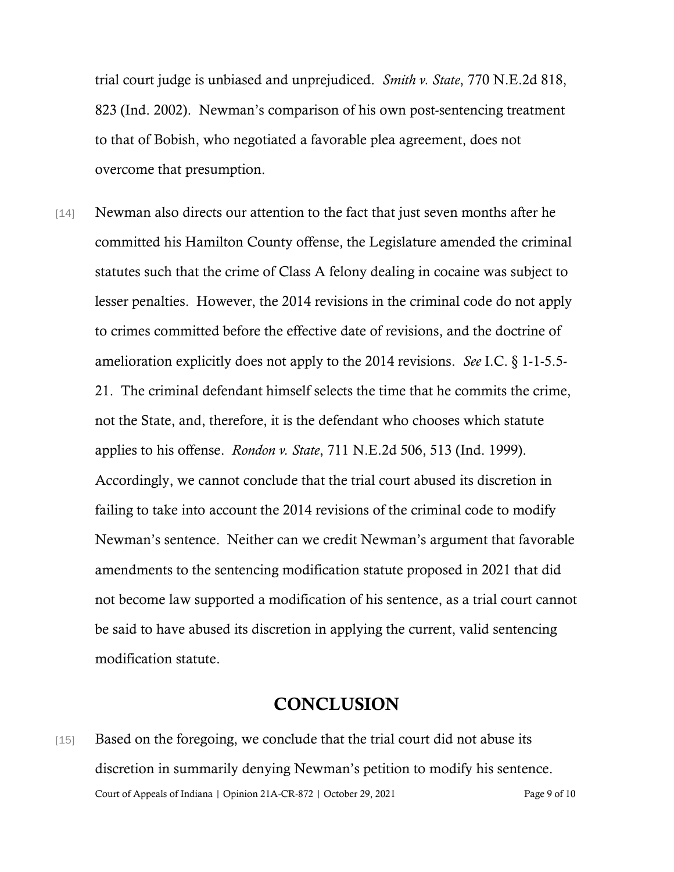trial court judge is unbiased and unprejudiced. *Smith v. State*, 770 N.E.2d 818, 823 (Ind. 2002). Newman's comparison of his own post-sentencing treatment to that of Bobish, who negotiated a favorable plea agreement, does not overcome that presumption.

[14] Newman also directs our attention to the fact that just seven months after he committed his Hamilton County offense, the Legislature amended the criminal statutes such that the crime of Class A felony dealing in cocaine was subject to lesser penalties. However, the 2014 revisions in the criminal code do not apply to crimes committed before the effective date of revisions, and the doctrine of amelioration explicitly does not apply to the 2014 revisions. *See* I.C. § 1-1-5.5- 21. The criminal defendant himself selects the time that he commits the crime, not the State, and, therefore, it is the defendant who chooses which statute applies to his offense. *Rondon v. State*, 711 N.E.2d 506, 513 (Ind. 1999). Accordingly, we cannot conclude that the trial court abused its discretion in failing to take into account the 2014 revisions of the criminal code to modify Newman's sentence. Neither can we credit Newman's argument that favorable amendments to the sentencing modification statute proposed in 2021 that did not become law supported a modification of his sentence, as a trial court cannot be said to have abused its discretion in applying the current, valid sentencing modification statute.

### **CONCLUSION**

Court of Appeals of Indiana | Opinion 21A-CR-872 | October 29, 2021 Page 9 of 10 [15] Based on the foregoing, we conclude that the trial court did not abuse its discretion in summarily denying Newman's petition to modify his sentence.